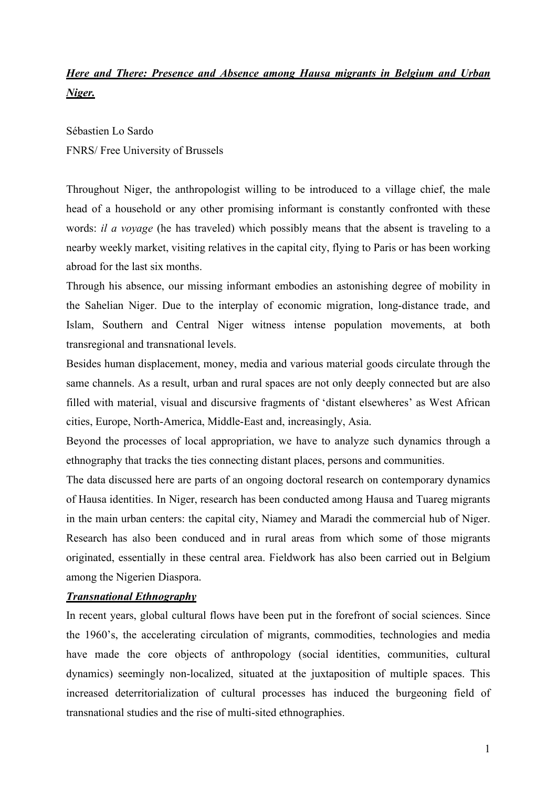# *Here and There: Presence and Absence among Hausa migrants in Belgium and Urban Niger.*

Sébastien Lo Sardo FNRS/ Free University of Brussels

Throughout Niger, the anthropologist willing to be introduced to a village chief, the male head of a household or any other promising informant is constantly confronted with these words: *il a voyage* (he has traveled) which possibly means that the absent is traveling to a nearby weekly market, visiting relatives in the capital city, flying to Paris or has been working abroad for the last six months.

Through his absence, our missing informant embodies an astonishing degree of mobility in the Sahelian Niger. Due to the interplay of economic migration, long-distance trade, and Islam, Southern and Central Niger witness intense population movements, at both transregional and transnational levels.

Besides human displacement, money, media and various material goods circulate through the same channels. As a result, urban and rural spaces are not only deeply connected but are also filled with material, visual and discursive fragments of 'distant elsewheres' as West African cities, Europe, North-America, Middle-East and, increasingly, Asia.

Beyond the processes of local appropriation, we have to analyze such dynamics through a ethnography that tracks the ties connecting distant places, persons and communities.

The data discussed here are parts of an ongoing doctoral research on contemporary dynamics of Hausa identities. In Niger, research has been conducted among Hausa and Tuareg migrants in the main urban centers: the capital city, Niamey and Maradi the commercial hub of Niger. Research has also been conduced and in rural areas from which some of those migrants originated, essentially in these central area. Fieldwork has also been carried out in Belgium among the Nigerien Diaspora.

## *Transnational Ethnography*

In recent years, global cultural flows have been put in the forefront of social sciences. Since the 1960's, the accelerating circulation of migrants, commodities, technologies and media have made the core objects of anthropology (social identities, communities, cultural dynamics) seemingly non-localized, situated at the juxtaposition of multiple spaces. This increased deterritorialization of cultural processes has induced the burgeoning field of transnational studies and the rise of multi-sited ethnographies.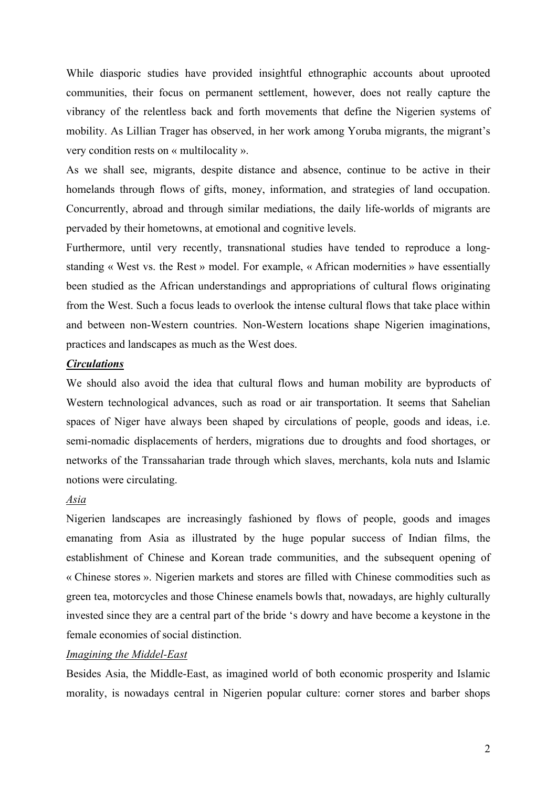While diasporic studies have provided insightful ethnographic accounts about uprooted communities, their focus on permanent settlement, however, does not really capture the vibrancy of the relentless back and forth movements that define the Nigerien systems of mobility. As Lillian Trager has observed, in her work among Yoruba migrants, the migrant's very condition rests on « multilocality ».

As we shall see, migrants, despite distance and absence, continue to be active in their homelands through flows of gifts, money, information, and strategies of land occupation. Concurrently, abroad and through similar mediations, the daily life-worlds of migrants are pervaded by their hometowns, at emotional and cognitive levels.

Furthermore, until very recently, transnational studies have tended to reproduce a longstanding « West vs. the Rest » model. For example, « African modernities » have essentially been studied as the African understandings and appropriations of cultural flows originating from the West. Such a focus leads to overlook the intense cultural flows that take place within and between non-Western countries. Non-Western locations shape Nigerien imaginations, practices and landscapes as much as the West does.

## *Circulations*

We should also avoid the idea that cultural flows and human mobility are byproducts of Western technological advances, such as road or air transportation. It seems that Sahelian spaces of Niger have always been shaped by circulations of people, goods and ideas, i.e. semi-nomadic displacements of herders, migrations due to droughts and food shortages, or networks of the Transsaharian trade through which slaves, merchants, kola nuts and Islamic notions were circulating.

#### *Asia*

Nigerien landscapes are increasingly fashioned by flows of people, goods and images emanating from Asia as illustrated by the huge popular success of Indian films, the establishment of Chinese and Korean trade communities, and the subsequent opening of « Chinese stores ». Nigerien markets and stores are filled with Chinese commodities such as green tea, motorcycles and those Chinese enamels bowls that, nowadays, are highly culturally invested since they are a central part of the bride 's dowry and have become a keystone in the female economies of social distinction.

#### *Imagining the Middel-East*

Besides Asia, the Middle-East, as imagined world of both economic prosperity and Islamic morality, is nowadays central in Nigerien popular culture: corner stores and barber shops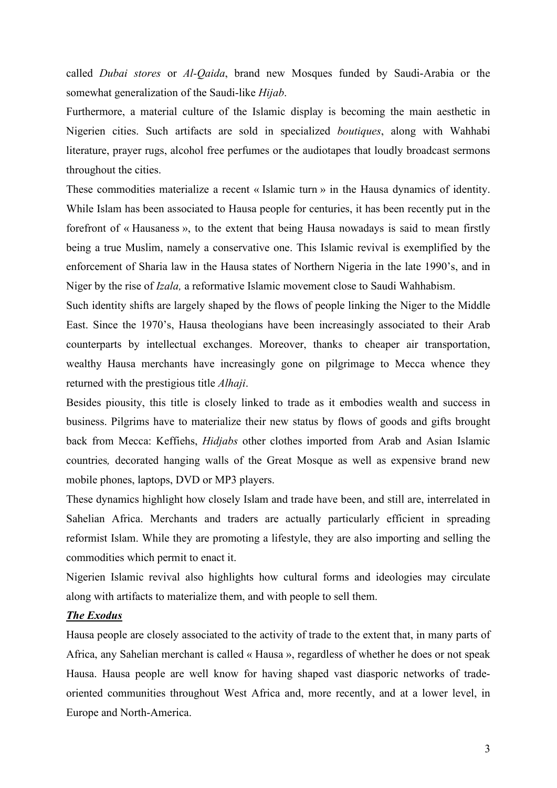called *Dubai stores* or *Al-Qaida*, brand new Mosques funded by Saudi-Arabia or the somewhat generalization of the Saudi-like *Hijab*.

Furthermore, a material culture of the Islamic display is becoming the main aesthetic in Nigerien cities. Such artifacts are sold in specialized *boutiques*, along with Wahhabi literature, prayer rugs, alcohol free perfumes or the audiotapes that loudly broadcast sermons throughout the cities.

These commodities materialize a recent « Islamic turn » in the Hausa dynamics of identity. While Islam has been associated to Hausa people for centuries, it has been recently put in the forefront of « Hausaness », to the extent that being Hausa nowadays is said to mean firstly being a true Muslim, namely a conservative one. This Islamic revival is exemplified by the enforcement of Sharia law in the Hausa states of Northern Nigeria in the late 1990's, and in Niger by the rise of *Izala,* a reformative Islamic movement close to Saudi Wahhabism.

Such identity shifts are largely shaped by the flows of people linking the Niger to the Middle East. Since the 1970's, Hausa theologians have been increasingly associated to their Arab counterparts by intellectual exchanges. Moreover, thanks to cheaper air transportation, wealthy Hausa merchants have increasingly gone on pilgrimage to Mecca whence they returned with the prestigious title *Alhaji*.

Besides piousity, this title is closely linked to trade as it embodies wealth and success in business. Pilgrims have to materialize their new status by flows of goods and gifts brought back from Mecca: Keffiehs, *Hidjabs* other clothes imported from Arab and Asian Islamic countries*,* decorated hanging walls of the Great Mosque as well as expensive brand new mobile phones, laptops, DVD or MP3 players.

These dynamics highlight how closely Islam and trade have been, and still are, interrelated in Sahelian Africa. Merchants and traders are actually particularly efficient in spreading reformist Islam. While they are promoting a lifestyle, they are also importing and selling the commodities which permit to enact it.

Nigerien Islamic revival also highlights how cultural forms and ideologies may circulate along with artifacts to materialize them, and with people to sell them.

### *The Exodus*

Hausa people are closely associated to the activity of trade to the extent that, in many parts of Africa, any Sahelian merchant is called « Hausa », regardless of whether he does or not speak Hausa. Hausa people are well know for having shaped vast diasporic networks of tradeoriented communities throughout West Africa and, more recently, and at a lower level, in Europe and North-America.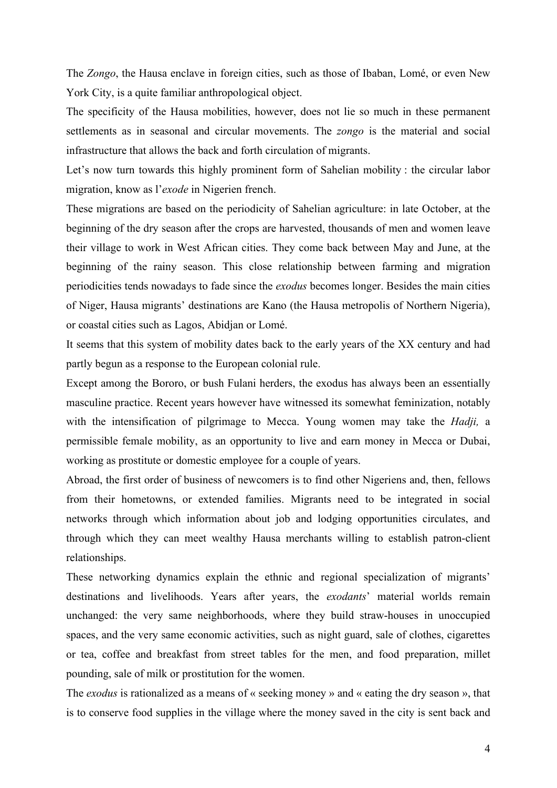The *Zongo*, the Hausa enclave in foreign cities, such as those of Ibaban, Lomé, or even New York City, is a quite familiar anthropological object.

The specificity of the Hausa mobilities, however, does not lie so much in these permanent settlements as in seasonal and circular movements. The *zongo* is the material and social infrastructure that allows the back and forth circulation of migrants.

Let's now turn towards this highly prominent form of Sahelian mobility : the circular labor migration, know as l'*exode* in Nigerien french.

These migrations are based on the periodicity of Sahelian agriculture: in late October, at the beginning of the dry season after the crops are harvested, thousands of men and women leave their village to work in West African cities. They come back between May and June, at the beginning of the rainy season. This close relationship between farming and migration periodicities tends nowadays to fade since the *exodus* becomes longer. Besides the main cities of Niger, Hausa migrants' destinations are Kano (the Hausa metropolis of Northern Nigeria), or coastal cities such as Lagos, Abidjan or Lomé.

It seems that this system of mobility dates back to the early years of the XX century and had partly begun as a response to the European colonial rule.

Except among the Bororo, or bush Fulani herders, the exodus has always been an essentially masculine practice. Recent years however have witnessed its somewhat feminization, notably with the intensification of pilgrimage to Mecca. Young women may take the *Hadji,* a permissible female mobility, as an opportunity to live and earn money in Mecca or Dubai, working as prostitute or domestic employee for a couple of years.

Abroad, the first order of business of newcomers is to find other Nigeriens and, then, fellows from their hometowns, or extended families. Migrants need to be integrated in social networks through which information about job and lodging opportunities circulates, and through which they can meet wealthy Hausa merchants willing to establish patron-client relationships.

These networking dynamics explain the ethnic and regional specialization of migrants' destinations and livelihoods. Years after years, the *exodants*' material worlds remain unchanged: the very same neighborhoods, where they build straw-houses in unoccupied spaces, and the very same economic activities, such as night guard, sale of clothes, cigarettes or tea, coffee and breakfast from street tables for the men, and food preparation, millet pounding, sale of milk or prostitution for the women.

The *exodus* is rationalized as a means of « seeking money » and « eating the dry season », that is to conserve food supplies in the village where the money saved in the city is sent back and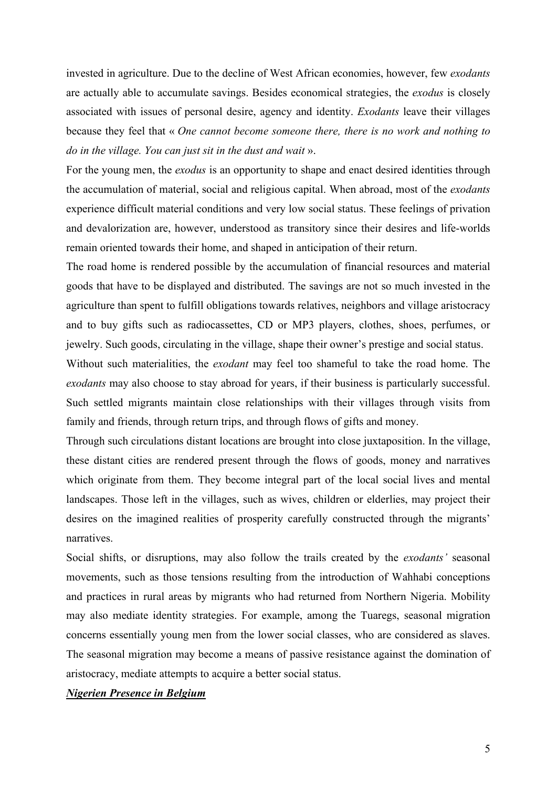invested in agriculture. Due to the decline of West African economies, however, few *exodants* are actually able to accumulate savings. Besides economical strategies, the *exodus* is closely associated with issues of personal desire, agency and identity. *Exodants* leave their villages because they feel that « *One cannot become someone there, there is no work and nothing to do in the village. You can just sit in the dust and wait* ».

For the young men, the *exodus* is an opportunity to shape and enact desired identities through the accumulation of material, social and religious capital. When abroad, most of the *exodants* experience difficult material conditions and very low social status. These feelings of privation and devalorization are, however, understood as transitory since their desires and life-worlds remain oriented towards their home, and shaped in anticipation of their return.

The road home is rendered possible by the accumulation of financial resources and material goods that have to be displayed and distributed. The savings are not so much invested in the agriculture than spent to fulfill obligations towards relatives, neighbors and village aristocracy and to buy gifts such as radiocassettes, CD or MP3 players, clothes, shoes, perfumes, or jewelry. Such goods, circulating in the village, shape their owner's prestige and social status.

Without such materialities, the *exodant* may feel too shameful to take the road home. The *exodants* may also choose to stay abroad for years, if their business is particularly successful. Such settled migrants maintain close relationships with their villages through visits from family and friends, through return trips, and through flows of gifts and money.

Through such circulations distant locations are brought into close juxtaposition. In the village, these distant cities are rendered present through the flows of goods, money and narratives which originate from them. They become integral part of the local social lives and mental landscapes. Those left in the villages, such as wives, children or elderlies, may project their desires on the imagined realities of prosperity carefully constructed through the migrants' narratives.

Social shifts, or disruptions, may also follow the trails created by the *exodants'* seasonal movements, such as those tensions resulting from the introduction of Wahhabi conceptions and practices in rural areas by migrants who had returned from Northern Nigeria. Mobility may also mediate identity strategies. For example, among the Tuaregs, seasonal migration concerns essentially young men from the lower social classes, who are considered as slaves. The seasonal migration may become a means of passive resistance against the domination of aristocracy, mediate attempts to acquire a better social status.

## *Nigerien Presence in Belgium*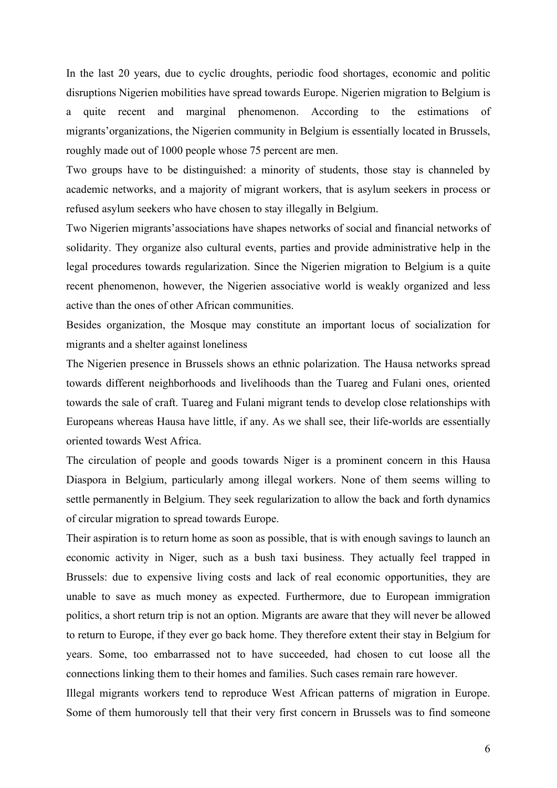In the last 20 years, due to cyclic droughts, periodic food shortages, economic and politic disruptions Nigerien mobilities have spread towards Europe. Nigerien migration to Belgium is a quite recent and marginal phenomenon. According to the estimations of migrants'organizations, the Nigerien community in Belgium is essentially located in Brussels, roughly made out of 1000 people whose 75 percent are men.

Two groups have to be distinguished: a minority of students, those stay is channeled by academic networks, and a majority of migrant workers, that is asylum seekers in process or refused asylum seekers who have chosen to stay illegally in Belgium.

Two Nigerien migrants'associations have shapes networks of social and financial networks of solidarity. They organize also cultural events, parties and provide administrative help in the legal procedures towards regularization. Since the Nigerien migration to Belgium is a quite recent phenomenon, however, the Nigerien associative world is weakly organized and less active than the ones of other African communities.

Besides organization, the Mosque may constitute an important locus of socialization for migrants and a shelter against loneliness

The Nigerien presence in Brussels shows an ethnic polarization. The Hausa networks spread towards different neighborhoods and livelihoods than the Tuareg and Fulani ones, oriented towards the sale of craft. Tuareg and Fulani migrant tends to develop close relationships with Europeans whereas Hausa have little, if any. As we shall see, their life-worlds are essentially oriented towards West Africa.

The circulation of people and goods towards Niger is a prominent concern in this Hausa Diaspora in Belgium, particularly among illegal workers. None of them seems willing to settle permanently in Belgium. They seek regularization to allow the back and forth dynamics of circular migration to spread towards Europe.

Their aspiration is to return home as soon as possible, that is with enough savings to launch an economic activity in Niger, such as a bush taxi business. They actually feel trapped in Brussels: due to expensive living costs and lack of real economic opportunities, they are unable to save as much money as expected. Furthermore, due to European immigration politics, a short return trip is not an option. Migrants are aware that they will never be allowed to return to Europe, if they ever go back home. They therefore extent their stay in Belgium for years. Some, too embarrassed not to have succeeded, had chosen to cut loose all the connections linking them to their homes and families. Such cases remain rare however.

Illegal migrants workers tend to reproduce West African patterns of migration in Europe. Some of them humorously tell that their very first concern in Brussels was to find someone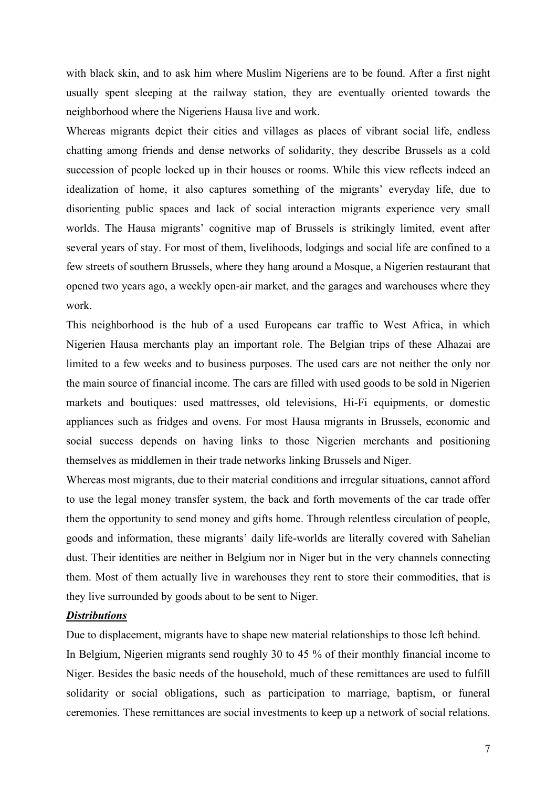with black skin, and to ask him where Muslim Nigeriens are to be found. After a first night usually spent sleeping at the railway station, they are eventually oriented towards the neighborhood where the Nigeriens Hausa live and work.

Whereas migrants depict their cities and villages as places of vibrant social life, endless chatting among friends and dense networks of solidarity, they describe Brussels as a cold succession of people locked up in their houses or rooms. While this view reflects indeed an idealization of home, it also captures something of the migrants' everyday life, due to disorienting public spaces and lack of social interaction migrants experience very small worlds. The Hausa migrants' cognitive map of Brussels is strikingly limited, event after several years of stay. For most of them, livelihoods, lodgings and social life are confined to a few streets of southern Brussels, where they hang around a Mosque, a Nigerien restaurant that opened two years ago, a weekly open-air market, and the garages and warehouses where they work.

This neighborhood is the hub of a used Europeans car traffic to West Africa, in which Nigerien Hausa merchants play an important role. The Belgian trips of these Alhazai are limited to a few weeks and to business purposes. The used cars are not neither the only nor the main source of financial income. The cars are filled with used goods to be sold in Nigerien markets and boutiques: used mattresses, old televisions, Hi-Fi equipments, or domestic appliances such as fridges and ovens. For most Hausa migrants in Brussels, economic and social success depends on having links to those Nigerien merchants and positioning themselves as middlemen in their trade networks linking Brussels and Niger.

Whereas most migrants, due to their material conditions and irregular situations, cannot afford to use the legal money transfer system, the back and forth movements of the car trade offer them the opportunity to send money and gifts home. Through relentless circulation of people, goods and information, these migrants' daily life-worlds are literally covered with Sahelian dust. Their identities are neither in Belgium nor in Niger but in the very channels connecting them. Most of them actually live in warehouses they rent to store their commodities, that is they live surrounded by goods about to be sent to Niger.

### *Distributions*

Due to displacement, migrants have to shape new material relationships to those left behind.

In Belgium, Nigerien migrants send roughly 30 to 45 % of their monthly financial income to Niger. Besides the basic needs of the household, much of these remittances are used to fulfill solidarity or social obligations, such as participation to marriage, baptism, or funeral ceremonies. These remittances are social investments to keep up a network of social relations.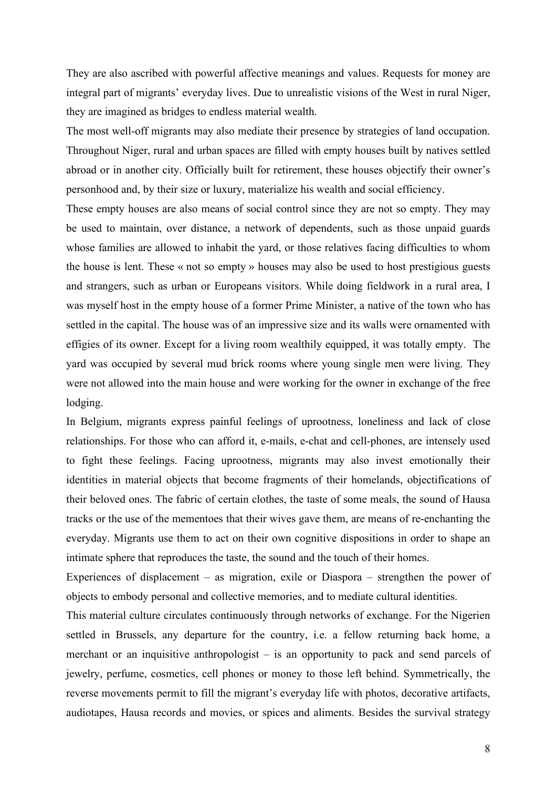They are also ascribed with powerful affective meanings and values. Requests for money are integral part of migrants' everyday lives. Due to unrealistic visions of the West in rural Niger, they are imagined as bridges to endless material wealth.

The most well-off migrants may also mediate their presence by strategies of land occupation. Throughout Niger, rural and urban spaces are filled with empty houses built by natives settled abroad or in another city. Officially built for retirement, these houses objectify their owner's personhood and, by their size or luxury, materialize his wealth and social efficiency.

These empty houses are also means of social control since they are not so empty. They may be used to maintain, over distance, a network of dependents, such as those unpaid guards whose families are allowed to inhabit the yard, or those relatives facing difficulties to whom the house is lent. These « not so empty » houses may also be used to host prestigious guests and strangers, such as urban or Europeans visitors. While doing fieldwork in a rural area, I was myself host in the empty house of a former Prime Minister, a native of the town who has settled in the capital. The house was of an impressive size and its walls were ornamented with effigies of its owner. Except for a living room wealthily equipped, it was totally empty. The yard was occupied by several mud brick rooms where young single men were living. They were not allowed into the main house and were working for the owner in exchange of the free lodging.

In Belgium, migrants express painful feelings of uprootness, loneliness and lack of close relationships. For those who can afford it, e-mails, e-chat and cell-phones, are intensely used to fight these feelings. Facing uprootness, migrants may also invest emotionally their identities in material objects that become fragments of their homelands, objectifications of their beloved ones. The fabric of certain clothes, the taste of some meals, the sound of Hausa tracks or the use of the mementoes that their wives gave them, are means of re-enchanting the everyday. Migrants use them to act on their own cognitive dispositions in order to shape an intimate sphere that reproduces the taste, the sound and the touch of their homes.

Experiences of displacement – as migration, exile or Diaspora – strengthen the power of objects to embody personal and collective memories, and to mediate cultural identities.

This material culture circulates continuously through networks of exchange. For the Nigerien settled in Brussels, any departure for the country, i.e. a fellow returning back home, a merchant or an inquisitive anthropologist – is an opportunity to pack and send parcels of jewelry, perfume, cosmetics, cell phones or money to those left behind. Symmetrically, the reverse movements permit to fill the migrant's everyday life with photos, decorative artifacts, audiotapes, Hausa records and movies, or spices and aliments. Besides the survival strategy